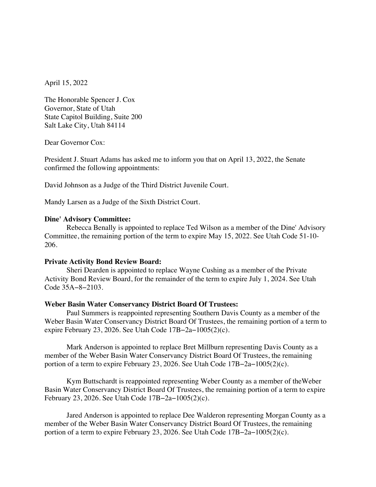April 15, 2022

The Honorable Spencer J. Cox Governor, State of Utah State Capitol Building, Suite 200 Salt Lake City, Utah 84114

Dear Governor Cox:

President J. Stuart Adams has asked me to inform you that on April 13, 2022, the Senate confirmed the following appointments:

David Johnson as a Judge of the Third District Juvenile Court.

Mandy Larsen as a Judge of the Sixth District Court.

### **Dine' Advisory Committee:**

Rebecca Benally is appointed to replace Ted Wilson as a member of the Dine' Advisory Committee, the remaining portion of the term to expire May 15, 2022. See Utah Code 51-10- 206.

#### **Private Activity Bond Review Board:**

Sheri Dearden is appointed to replace Wayne Cushing as a member of the Private Activity Bond Review Board, for the remainder of the term to expire July 1, 2024. See Utah Code 35A−8−2103.

#### **Weber Basin Water Conservancy District Board Of Trustees:**

Paul Summers is reappointed representing Southern Davis County as a member of the Weber Basin Water Conservancy District Board Of Trustees, the remaining portion of a term to expire February 23, 2026. See Utah Code 17B−2a−1005(2)(c).

Mark Anderson is appointed to replace Bret Millburn representing Davis County as a member of the Weber Basin Water Conservancy District Board Of Trustees, the remaining portion of a term to expire February 23, 2026. See Utah Code 17B−2a−1005(2)(c).

Kym Buttschardt is reappointed representing Weber County as a member of theWeber Basin Water Conservancy District Board Of Trustees, the remaining portion of a term to expire February 23, 2026. See Utah Code 17B−2a−1005(2)(c).

Jared Anderson is appointed to replace Dee Walderon representing Morgan County as a member of the Weber Basin Water Conservancy District Board Of Trustees, the remaining portion of a term to expire February 23, 2026. See Utah Code 17B−2a−1005(2)(c).